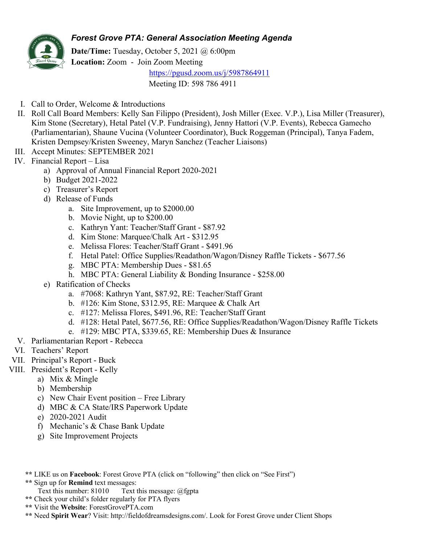## *Forest Grove PTA: General Association Meeting Agenda*



**Date/Time:** Tuesday, October 5, 2021 @ 6:00pm **Location:** Zoom - Join Zoom Meeting https://pgusd.zoom.us/j/5987864911

Meeting ID: 598 786 4911

- I. Call to Order, Welcome & Introductions
- II. Roll Call Board Members: Kelly San Filippo (President), Josh Miller (Exec. V.P.), Lisa Miller (Treasurer), Kim Stone (Secretary), Hetal Patel (V.P. Fundraising), Jenny Hattori (V.P. Events), Rebecca Gamecho (Parliamentarian), Shaune Vucina (Volunteer Coordinator), Buck Roggeman (Principal), Tanya Fadem, Kristen Dempsey/Kristen Sweeney, Maryn Sanchez (Teacher Liaisons)
- III. Accept Minutes: SEPTEMBER 2021
- IV. Financial Report Lisa
	- a) Approval of Annual Financial Report 2020-2021
	- b) Budget 2021-2022
	- c) Treasurer's Report
	- d) Release of Funds
		- a. Site Improvement, up to \$2000.00
		- b. Movie Night, up to \$200.00
		- c. Kathryn Yant: Teacher/Staff Grant \$87.92
		- d. Kim Stone: Marquee/Chalk Art \$312.95
		- e. Melissa Flores: Teacher/Staff Grant \$491.96
		- f. Hetal Patel: Office Supplies/Readathon/Wagon/Disney Raffle Tickets \$677.56
		- g. MBC PTA: Membership Dues \$81.65
		- h. MBC PTA: General Liability & Bonding Insurance \$258.00
	- e) Ratification of Checks
		- a. #7068: Kathryn Yant, \$87.92, RE: Teacher/Staff Grant
		- b. #126: Kim Stone, \$312.95, RE: Marquee & Chalk Art
		- c. #127: Melissa Flores, \$491.96, RE: Teacher/Staff Grant
		- d. #128: Hetal Patel, \$677.56, RE: Office Supplies/Readathon/Wagon/Disney Raffle Tickets
		- e. #129: MBC PTA, \$339.65, RE: Membership Dues & Insurance
- V. Parliamentarian Report Rebecca
- VI. Teachers' Report
- VII. Principal's Report Buck
- VIII. President's Report Kelly
	- a) Mix & Mingle
	- b) Membership
	- c) New Chair Event position Free Library
	- d) MBC & CA State/IRS Paperwork Update
	- e) 2020-2021 Audit
	- f) Mechanic's & Chase Bank Update
	- g) Site Improvement Projects
	- **\*\*** LIKE us on **Facebook**: Forest Grove PTA (click on "following" then click on "See First")
	- **\*\*** Sign up for **Remind** text messages:
		- Text this number: 81010 Text this message: @fgpta
	- **\*\*** Check your child's folder regularly for PTA flyers
	- **\*\*** Visit the **Website**: ForestGrovePTA.com
	- **\*\*** Need **Spirit Wear**? Visit: http://fieldofdreamsdesigns.com/. Look for Forest Grove under Client Shops